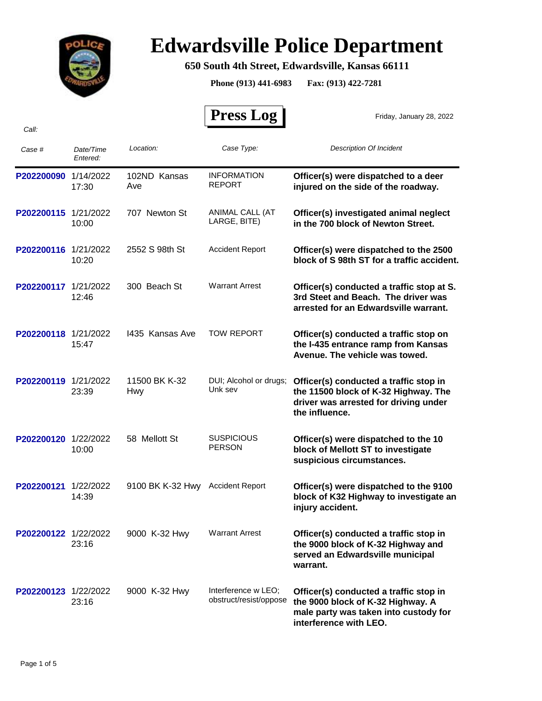

*Call:*

# **Edwardsville Police Department**

### **650 South 4th Street, Edwardsville, Kansas 66111**

**Phone (913) 441-6983 Fax: (913) 422-7281**

 **Press Log** 

Friday, January 28, 2022

| Case #               | Date/Time<br>Entered: | Location:                   | Case Type:                                    | <b>Description Of Incident</b>                                                                                                                 |
|----------------------|-----------------------|-----------------------------|-----------------------------------------------|------------------------------------------------------------------------------------------------------------------------------------------------|
| P202200090           | 1/14/2022<br>17:30    | 102ND Kansas<br>Ave         | <b>INFORMATION</b><br><b>REPORT</b>           | Officer(s) were dispatched to a deer<br>injured on the side of the roadway.                                                                    |
| P202200115 1/21/2022 | 10:00                 | 707 Newton St               | ANIMAL CALL (AT<br>LARGE, BITE)               | Officer(s) investigated animal neglect<br>in the 700 block of Newton Street.                                                                   |
| P202200116 1/21/2022 | 10:20                 | 2552 S 98th St              | <b>Accident Report</b>                        | Officer(s) were dispatched to the 2500<br>block of S 98th ST for a traffic accident.                                                           |
| P202200117 1/21/2022 | 12:46                 | 300 Beach St                | <b>Warrant Arrest</b>                         | Officer(s) conducted a traffic stop at S.<br>3rd Steet and Beach. The driver was<br>arrested for an Edwardsville warrant.                      |
| P202200118 1/21/2022 | 15:47                 | 1435 Kansas Ave             | <b>TOW REPORT</b>                             | Officer(s) conducted a traffic stop on<br>the I-435 entrance ramp from Kansas<br>Avenue. The vehicle was towed.                                |
| P202200119 1/21/2022 | 23:39                 | 11500 BK K-32<br><b>Hwy</b> | DUI; Alcohol or drugs;<br>Unk sev             | Officer(s) conducted a traffic stop in<br>the 11500 block of K-32 Highway. The<br>driver was arrested for driving under<br>the influence.      |
| P202200120           | 1/22/2022<br>10:00    | 58 Mellott St               | <b>SUSPICIOUS</b><br><b>PERSON</b>            | Officer(s) were dispatched to the 10<br>block of Mellott ST to investigate<br>suspicious circumstances.                                        |
| P202200121           | 1/22/2022<br>14:39    | 9100 BK K-32 Hwy            | <b>Accident Report</b>                        | Officer(s) were dispatched to the 9100<br>block of K32 Highway to investigate an<br>injury accident.                                           |
| P202200122 1/22/2022 | 23:16                 | 9000 K-32 Hwy               | <b>Warrant Arrest</b>                         | Officer(s) conducted a traffic stop in<br>the 9000 block of K-32 Highway and<br>served an Edwardsville municipal<br>warrant.                   |
| P202200123 1/22/2022 | 23:16                 | 9000 K-32 Hwy               | Interference w LEO:<br>obstruct/resist/oppose | Officer(s) conducted a traffic stop in<br>the 9000 block of K-32 Highway. A<br>male party was taken into custody for<br>interference with LEO. |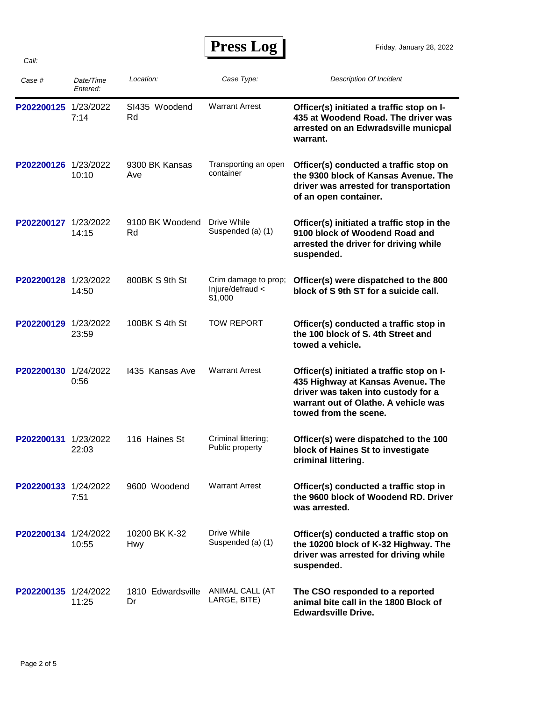## **Press Log**

| Case #               | Date/Time<br>Entered: | Location:                   | Case Type:                                          | <b>Description Of Incident</b>                                                                                                                                                         |
|----------------------|-----------------------|-----------------------------|-----------------------------------------------------|----------------------------------------------------------------------------------------------------------------------------------------------------------------------------------------|
| P202200125           | 1/23/2022<br>7:14     | SI435 Woodend<br>Rd         | <b>Warrant Arrest</b>                               | Officer(s) initiated a traffic stop on I-<br>435 at Woodend Road. The driver was<br>arrested on an Edwradsville municpal<br>warrant.                                                   |
| P202200126 1/23/2022 | 10:10                 | 9300 BK Kansas<br>Ave       | Transporting an open<br>container                   | Officer(s) conducted a traffic stop on<br>the 9300 block of Kansas Avenue. The<br>driver was arrested for transportation<br>of an open container.                                      |
| P202200127 1/23/2022 | 14:15                 | 9100 BK Woodend<br>Rd       | Drive While<br>Suspended (a) (1)                    | Officer(s) initiated a traffic stop in the<br>9100 block of Woodend Road and<br>arrested the driver for driving while<br>suspended.                                                    |
| P202200128 1/23/2022 | 14:50                 | 800BK S 9th St              | Crim damage to prop;<br>Injure/defraud <<br>\$1,000 | Officer(s) were dispatched to the 800<br>block of S 9th ST for a suicide call.                                                                                                         |
| P202200129 1/23/2022 | 23:59                 | 100BK S 4th St              | <b>TOW REPORT</b>                                   | Officer(s) conducted a traffic stop in<br>the 100 block of S. 4th Street and<br>towed a vehicle.                                                                                       |
| P202200130 1/24/2022 | 0:56                  | 1435 Kansas Ave             | <b>Warrant Arrest</b>                               | Officer(s) initiated a traffic stop on I-<br>435 Highway at Kansas Avenue. The<br>driver was taken into custody for a<br>warrant out of Olathe. A vehicle was<br>towed from the scene. |
| P202200131           | 1/23/2022<br>22:03    | 116 Haines St               | Criminal littering;<br>Public property              | Officer(s) were dispatched to the 100<br>block of Haines St to investigate<br>criminal littering.                                                                                      |
| P202200133 1/24/2022 | 7:51                  | 9600 Woodend                | <b>Warrant Arrest</b>                               | Officer(s) conducted a traffic stop in<br>the 9600 block of Woodend RD. Driver<br>was arrested.                                                                                        |
| P202200134 1/24/2022 | 10:55                 | 10200 BK K-32<br><b>Hwy</b> | Drive While<br>Suspended (a) (1)                    | Officer(s) conducted a traffic stop on<br>the 10200 block of K-32 Highway. The<br>driver was arrested for driving while<br>suspended.                                                  |
| P202200135 1/24/2022 | 11:25                 | 1810 Edwardsville<br>Dr     | ANIMAL CALL (AT<br>LARGE, BITE)                     | The CSO responded to a reported<br>animal bite call in the 1800 Block of<br><b>Edwardsville Drive.</b>                                                                                 |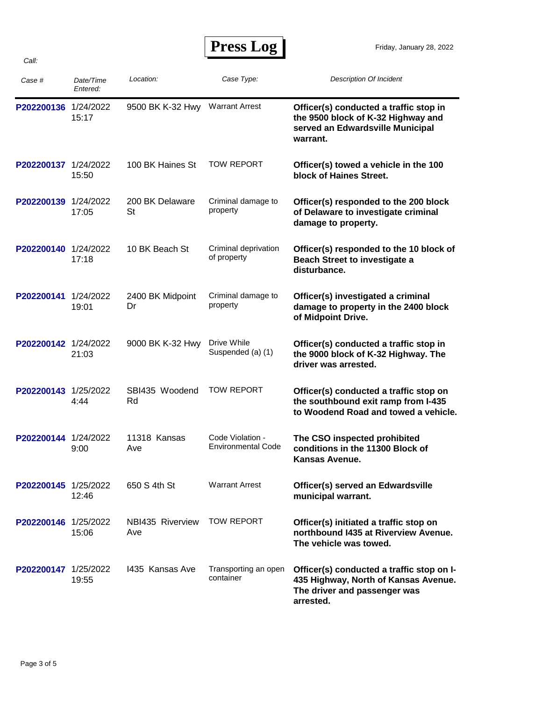## **Press Log**

| Case #               | Date/Time<br>Entered: | Location:               | Case Type:                                    | <b>Description Of Incident</b>                                                                                                 |
|----------------------|-----------------------|-------------------------|-----------------------------------------------|--------------------------------------------------------------------------------------------------------------------------------|
| P202200136 1/24/2022 | 15:17                 | 9500 BK K-32 Hwy        | <b>Warrant Arrest</b>                         | Officer(s) conducted a traffic stop in<br>the 9500 block of K-32 Highway and<br>served an Edwardsville Municipal<br>warrant.   |
| P202200137 1/24/2022 | 15:50                 | 100 BK Haines St        | <b>TOW REPORT</b>                             | Officer(s) towed a vehicle in the 100<br>block of Haines Street.                                                               |
| P202200139           | 1/24/2022<br>17:05    | 200 BK Delaware<br>St   | Criminal damage to<br>property                | Officer(s) responded to the 200 block<br>of Delaware to investigate criminal<br>damage to property.                            |
| P202200140 1/24/2022 | 17:18                 | 10 BK Beach St          | Criminal deprivation<br>of property           | Officer(s) responded to the 10 block of<br><b>Beach Street to investigate a</b><br>disturbance.                                |
| P202200141           | 1/24/2022<br>19:01    | 2400 BK Midpoint<br>Dr  | Criminal damage to<br>property                | Officer(s) investigated a criminal<br>damage to property in the 2400 block<br>of Midpoint Drive.                               |
| P202200142 1/24/2022 | 21:03                 | 9000 BK K-32 Hwy        | Drive While<br>Suspended (a) (1)              | Officer(s) conducted a traffic stop in<br>the 9000 block of K-32 Highway. The<br>driver was arrested.                          |
| P202200143           | 1/25/2022<br>4:44     | SBI435 Woodend<br>Rd    | <b>TOW REPORT</b>                             | Officer(s) conducted a traffic stop on<br>the southbound exit ramp from I-435<br>to Woodend Road and towed a vehicle.          |
| P202200144 1/24/2022 | 9:00                  | 11318 Kansas<br>Ave     | Code Violation -<br><b>Environmental Code</b> | The CSO inspected prohibited<br>conditions in the 11300 Block of<br>Kansas Avenue.                                             |
| P202200145 1/25/2022 | 12:46                 | 650 S 4th St            | <b>Warrant Arrest</b>                         | Officer(s) served an Edwardsville<br>municipal warrant.                                                                        |
| P202200146 1/25/2022 | 15:06                 | NBI435 Riverview<br>Ave | <b>TOW REPORT</b>                             | Officer(s) initiated a traffic stop on<br>northbound I435 at Riverview Avenue.<br>The vehicle was towed.                       |
| P202200147 1/25/2022 | 19:55                 | 1435 Kansas Ave         | Transporting an open<br>container             | Officer(s) conducted a traffic stop on I-<br>435 Highway, North of Kansas Avenue.<br>The driver and passenger was<br>arrested. |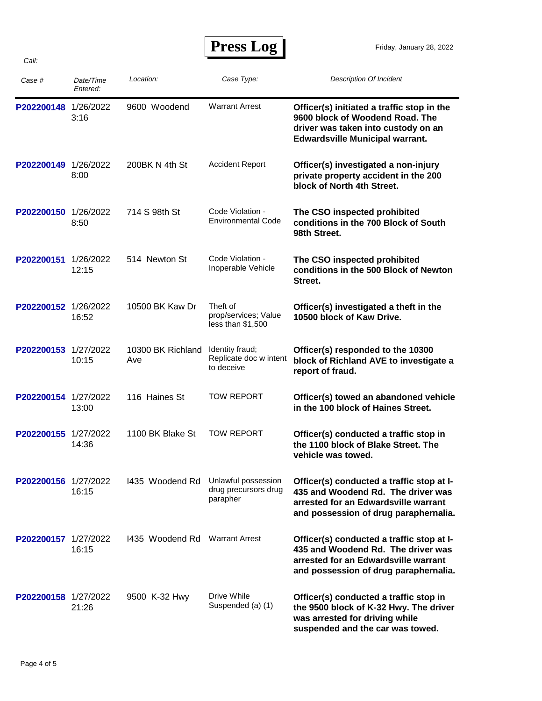| <b>Press Log</b> |  |
|------------------|--|
|------------------|--|

| Case #               | Date/Time<br>Entered: | Location:                           | Case Type:                                              | <b>Description Of Incident</b>                                                                                                                                   |
|----------------------|-----------------------|-------------------------------------|---------------------------------------------------------|------------------------------------------------------------------------------------------------------------------------------------------------------------------|
| P202200148           | 1/26/2022<br>3:16     | 9600 Woodend                        | <b>Warrant Arrest</b>                                   | Officer(s) initiated a traffic stop in the<br>9600 block of Woodend Road. The<br>driver was taken into custody on an<br><b>Edwardsville Municipal warrant.</b>   |
| P202200149 1/26/2022 | 8:00                  | 200BK N 4th St                      | <b>Accident Report</b>                                  | Officer(s) investigated a non-injury<br>private property accident in the 200<br>block of North 4th Street.                                                       |
| P202200150 1/26/2022 | 8:50                  | 714 S 98th St                       | Code Violation -<br><b>Environmental Code</b>           | The CSO inspected prohibited<br>conditions in the 700 Block of South<br>98th Street.                                                                             |
| P202200151           | 1/26/2022<br>12:15    | 514 Newton St                       | Code Violation -<br>Inoperable Vehicle                  | The CSO inspected prohibited<br>conditions in the 500 Block of Newton<br>Street.                                                                                 |
| P202200152 1/26/2022 | 16:52                 | 10500 BK Kaw Dr                     | Theft of<br>prop/services; Value<br>less than \$1,500   | Officer(s) investigated a theft in the<br>10500 block of Kaw Drive.                                                                                              |
| P202200153 1/27/2022 | 10:15                 | 10300 BK Richland<br>Ave            | Identity fraud;<br>Replicate doc w intent<br>to deceive | Officer(s) responded to the 10300<br>block of Richland AVE to investigate a<br>report of fraud.                                                                  |
| P202200154 1/27/2022 | 13:00                 | 116 Haines St                       | <b>TOW REPORT</b>                                       | Officer(s) towed an abandoned vehicle<br>in the 100 block of Haines Street.                                                                                      |
| P202200155 1/27/2022 | 14:36                 | 1100 BK Blake St                    | <b>TOW REPORT</b>                                       | Officer(s) conducted a traffic stop in<br>the 1100 block of Blake Street. The<br>vehicle was towed.                                                              |
| P202200156 1/27/2022 | 16:15                 | 1435 Woodend Rd Unlawful possession | drug precursors drug<br>parapher                        | Officer(s) conducted a traffic stop at I-<br>435 and Woodend Rd. The driver was<br>arrested for an Edwardsville warrant<br>and possession of drug paraphernalia. |
| P202200157 1/27/2022 | 16:15                 | 1435 Woodend Rd Warrant Arrest      |                                                         | Officer(s) conducted a traffic stop at I-<br>435 and Woodend Rd. The driver was<br>arrested for an Edwardsville warrant<br>and possession of drug paraphernalia. |
| P202200158 1/27/2022 | 21:26                 | 9500 K-32 Hwy                       | Drive While<br>Suspended (a) (1)                        | Officer(s) conducted a traffic stop in<br>the 9500 block of K-32 Hwy. The driver<br>was arrested for driving while<br>suspended and the car was towed.           |